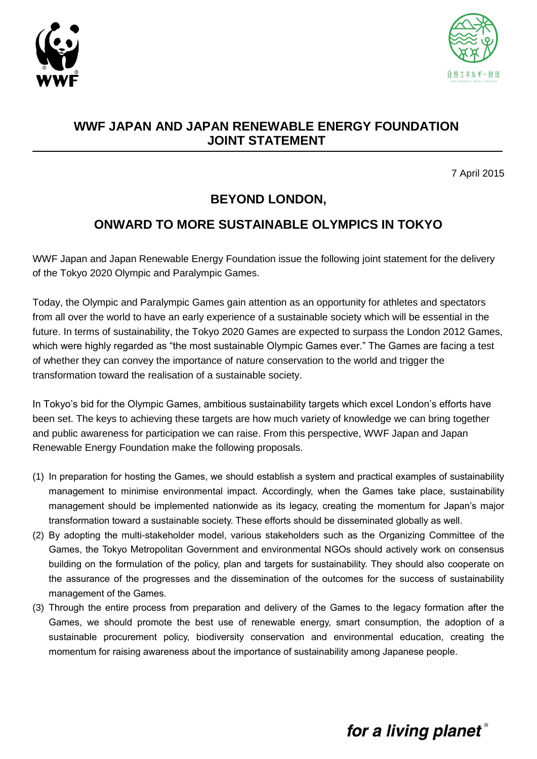



#### **WWF JAPAN AND JAPAN RENEWABLE ENERGY FOUNDATION JOINT STATEMENT**

7 April 2015

### **BEYOND LONDON,**

### **ONWARD TO MORE SUSTAINABLE OLYMPICS IN TOKYO**

WWF Japan and Japan Renewable Energy Foundation issue the following joint statement for the delivery of the Tokyo 2020 Olympic and Paralympic Games.

Today, the Olympic and Paralympic Games gain attention as an opportunity for athletes and spectators from all over the world to have an early experience of a sustainable society which will be essential in the future. In terms of sustainability, the Tokyo 2020 Games are expected to surpass the London 2012 Games, which were highly regarded as "the most sustainable Olympic Games ever." The Games are facing a test of whether they can convey the importance of nature conservation to the world and trigger the transformation toward the realisation of a sustainable society.

In Tokyo's bid for the Olympic Games, ambitious sustainability targets which excel London's efforts have been set. The keys to achieving these targets are how much variety of knowledge we can bring together and public awareness for participation we can raise. From this perspective, WWF Japan and Japan Renewable Energy Foundation make the following proposals.

- (1) In preparation for hosting the Games, we should establish a system and practical examples of sustainability management to minimise environmental impact. Accordingly, when the Games take place, sustainability management should be implemented nationwide as its legacy, creating the momentum for Japan's major transformation toward a sustainable society. These efforts should be disseminated globally as well.
- (2) By adopting the multi-stakeholder model, various stakeholders such as the Organizing Committee of the Games, the Tokyo Metropolitan Government and environmental NGOs should actively work on consensus building on the formulation of the policy, plan and targets for sustainability. They should also cooperate on the assurance of the progresses and the dissemination of the outcomes for the success of sustainability management of the Games.
- (3) Through the entire process from preparation and delivery of the Games to the legacy formation after the Games, we should promote the best use of renewable energy, smart consumption, the adoption of a sustainable procurement policy, biodiversity conservation and environmental education, creating the momentum for raising awareness about the importance of sustainability among Japanese people.

# for a living planet®